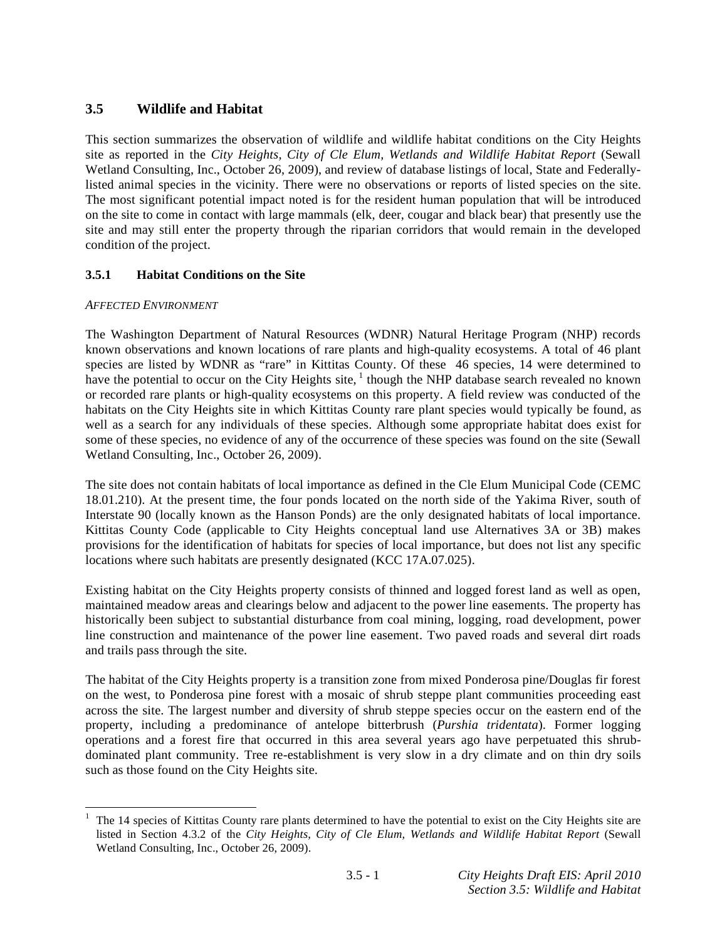# **3.5 Wildlife and Habitat**

This section summarizes the observation of wildlife and wildlife habitat conditions on the City Heights site as reported in the *City Heights, City of Cle Elum, Wetlands and Wildlife Habitat Report* (Sewall Wetland Consulting, Inc., October 26, 2009), and review of database listings of local, State and Federallylisted animal species in the vicinity. There were no observations or reports of listed species on the site. The most significant potential impact noted is for the resident human population that will be introduced on the site to come in contact with large mammals (elk, deer, cougar and black bear) that presently use the site and may still enter the property through the riparian corridors that would remain in the developed condition of the project.

# **3.5.1 Habitat Conditions on the Site**

### *AFFECTED ENVIRONMENT*

The Washington Department of Natural Resources (WDNR) Natural Heritage Program (NHP) records known observations and known locations of rare plants and high-quality ecosystems. A total of 46 plant species are listed by WDNR as "rare" in Kittitas County. Of these 46 species, 14 were determined to have the potential to occur on the City Heights site,  $\frac{1}{1}$  though the NHP database search revealed no known or recorded rare plants or high-quality ecosystems on this property. A field review was conducted of the habitats on the City Heights site in which Kittitas County rare plant species would typically be found, as well as a search for any individuals of these species. Although some appropriate habitat does exist for some of these species, no evidence of any of the occurrence of these species was found on the site (Sewall Wetland Consulting, Inc., October 26, 2009).

The site does not contain habitats of local importance as defined in the Cle Elum Municipal Code (CEMC 18.01.210). At the present time, the four ponds located on the north side of the Yakima River, south of Interstate 90 (locally known as the Hanson Ponds) are the only designated habitats of local importance. Kittitas County Code (applicable to City Heights conceptual land use Alternatives 3A or 3B) makes provisions for the identification of habitats for species of local importance, but does not list any specific locations where such habitats are presently designated (KCC 17A.07.025).

Existing habitat on the City Heights property consists of thinned and logged forest land as well as open, maintained meadow areas and clearings below and adjacent to the power line easements. The property has historically been subject to substantial disturbance from coal mining, logging, road development, power line construction and maintenance of the power line easement. Two paved roads and several dirt roads and trails pass through the site.

The habitat of the City Heights property is a transition zone from mixed Ponderosa pine/Douglas fir forest on the west, to Ponderosa pine forest with a mosaic of shrub steppe plant communities proceeding east across the site. The largest number and diversity of shrub steppe species occur on the eastern end of the property, including a predominance of antelope bitterbrush (*Purshia tridentata*). Former logging operations and a forest fire that occurred in this area several years ago have perpetuated this shrubdominated plant community. Tree re-establishment is very slow in a dry climate and on thin dry soils such as those found on the City Heights site.

<sup>&</sup>lt;u>.</u> 1 The 14 species of Kittitas County rare plants determined to have the potential to exist on the City Heights site are listed in Section 4.3.2 of the *City Heights, City of Cle Elum, Wetlands and Wildlife Habitat Report* (Sewall Wetland Consulting, Inc., October 26, 2009).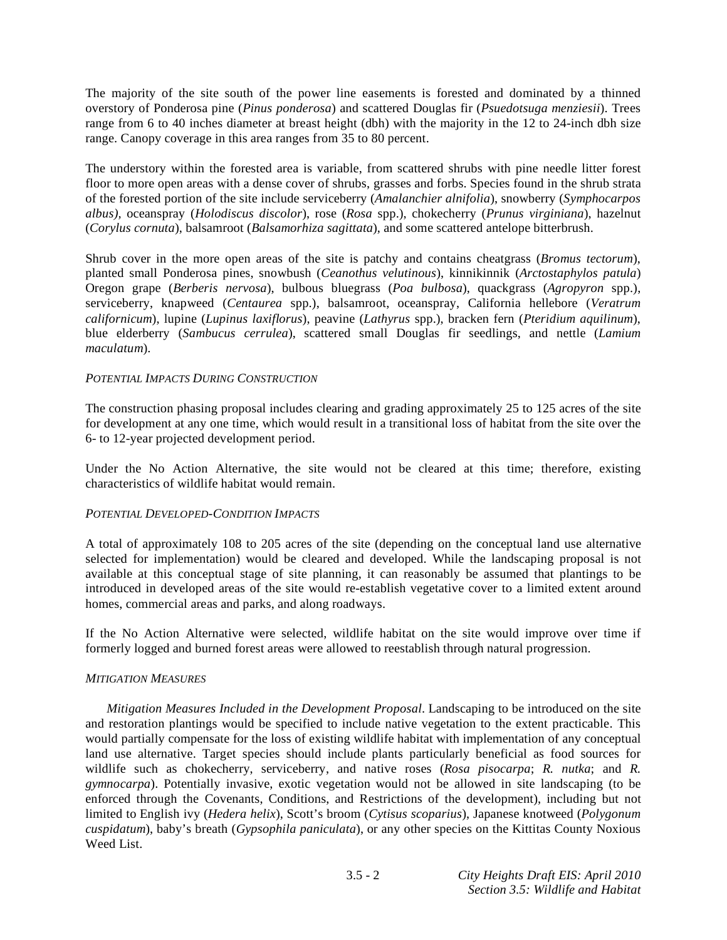The majority of the site south of the power line easements is forested and dominated by a thinned overstory of Ponderosa pine (*Pinus ponderosa*) and scattered Douglas fir (*Psuedotsuga menziesii*). Trees range from 6 to 40 inches diameter at breast height (dbh) with the majority in the 12 to 24-inch dbh size range. Canopy coverage in this area ranges from 35 to 80 percent.

The understory within the forested area is variable, from scattered shrubs with pine needle litter forest floor to more open areas with a dense cover of shrubs, grasses and forbs. Species found in the shrub strata of the forested portion of the site include serviceberry (*Amalanchier alnifolia*), snowberry (*Symphocarpos albus),* oceanspray (*Holodiscus discolor*), rose (*Rosa* spp.), chokecherry (*Prunus virginiana*), hazelnut (*Corylus cornuta*), balsamroot (*Balsamorhiza sagittata*), and some scattered antelope bitterbrush.

Shrub cover in the more open areas of the site is patchy and contains cheatgrass (*Bromus tectorum*), planted small Ponderosa pines, snowbush (*Ceanothus velutinous*), kinnikinnik (*Arctostaphylos patula*) Oregon grape (*Berberis nervosa*), bulbous bluegrass (*Poa bulbosa*), quackgrass (*Agropyron* spp.), serviceberry, knapweed (*Centaurea* spp.), balsamroot, oceanspray, California hellebore (*Veratrum californicum*), lupine (*Lupinus laxiflorus*), peavine (*Lathyrus* spp.), bracken fern (*Pteridium aquilinum*), blue elderberry (*Sambucus cerrulea*), scattered small Douglas fir seedlings, and nettle (*Lamium maculatum*).

### *POTENTIAL IMPACTS DURING CONSTRUCTION*

The construction phasing proposal includes clearing and grading approximately 25 to 125 acres of the site for development at any one time, which would result in a transitional loss of habitat from the site over the 6- to 12-year projected development period.

Under the No Action Alternative, the site would not be cleared at this time; therefore, existing characteristics of wildlife habitat would remain.

#### *POTENTIAL DEVELOPED-CONDITION IMPACTS*

A total of approximately 108 to 205 acres of the site (depending on the conceptual land use alternative selected for implementation) would be cleared and developed. While the landscaping proposal is not available at this conceptual stage of site planning, it can reasonably be assumed that plantings to be introduced in developed areas of the site would re-establish vegetative cover to a limited extent around homes, commercial areas and parks, and along roadways.

If the No Action Alternative were selected, wildlife habitat on the site would improve over time if formerly logged and burned forest areas were allowed to reestablish through natural progression.

#### *MITIGATION MEASURES*

*Mitigation Measures Included in the Development Proposal*. Landscaping to be introduced on the site and restoration plantings would be specified to include native vegetation to the extent practicable. This would partially compensate for the loss of existing wildlife habitat with implementation of any conceptual land use alternative. Target species should include plants particularly beneficial as food sources for wildlife such as chokecherry, serviceberry, and native roses (*Rosa pisocarpa*; *R. nutka*; and *R. gymnocarpa*). Potentially invasive, exotic vegetation would not be allowed in site landscaping (to be enforced through the Covenants, Conditions, and Restrictions of the development), including but not limited to English ivy (*Hedera helix*), Scott's broom (*Cytisus scoparius*), Japanese knotweed (*Polygonum cuspidatum*), baby's breath (*Gypsophila paniculata*), or any other species on the Kittitas County Noxious Weed List.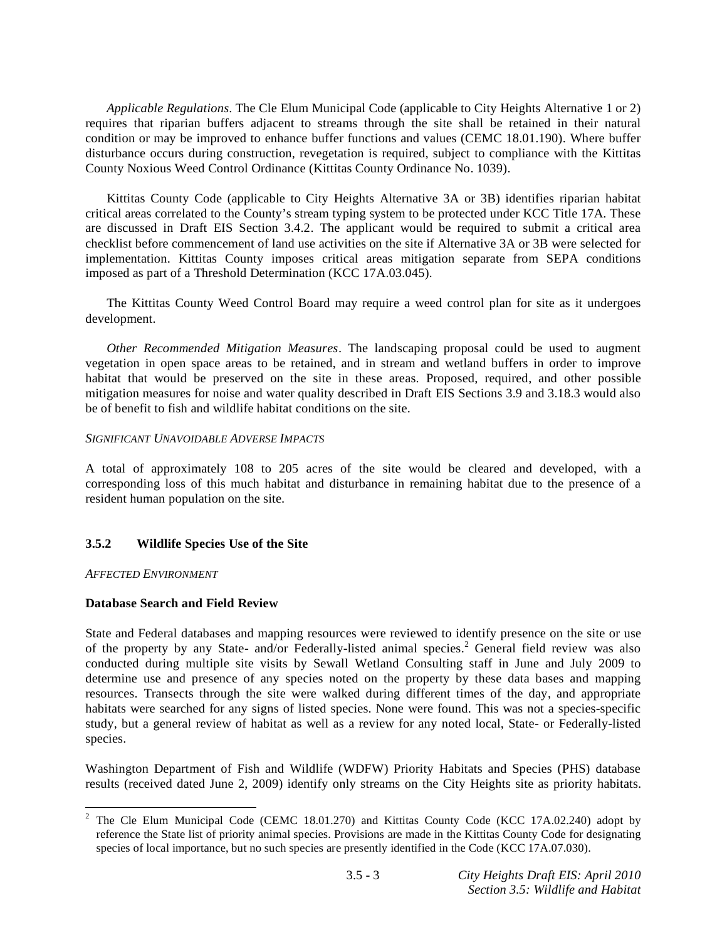*Applicable Regulations*. The Cle Elum Municipal Code (applicable to City Heights Alternative 1 or 2) requires that riparian buffers adjacent to streams through the site shall be retained in their natural condition or may be improved to enhance buffer functions and values (CEMC 18.01.190). Where buffer disturbance occurs during construction, revegetation is required, subject to compliance with the Kittitas County Noxious Weed Control Ordinance (Kittitas County Ordinance No. 1039).

 Kittitas County Code (applicable to City Heights Alternative 3A or 3B) identifies riparian habitat critical areas correlated to the County's stream typing system to be protected under KCC Title 17A. These are discussed in Draft EIS Section 3.4.2. The applicant would be required to submit a critical area checklist before commencement of land use activities on the site if Alternative 3A or 3B were selected for implementation. Kittitas County imposes critical areas mitigation separate from SEPA conditions imposed as part of a Threshold Determination (KCC 17A.03.045).

 The Kittitas County Weed Control Board may require a weed control plan for site as it undergoes development.

*Other Recommended Mitigation Measures*. The landscaping proposal could be used to augment vegetation in open space areas to be retained, and in stream and wetland buffers in order to improve habitat that would be preserved on the site in these areas. Proposed, required, and other possible mitigation measures for noise and water quality described in Draft EIS Sections 3.9 and 3.18.3 would also be of benefit to fish and wildlife habitat conditions on the site.

#### *SIGNIFICANT UNAVOIDABLE ADVERSE IMPACTS*

A total of approximately 108 to 205 acres of the site would be cleared and developed, with a corresponding loss of this much habitat and disturbance in remaining habitat due to the presence of a resident human population on the site.

### **3.5.2 Wildlife Species Use of the Site**

#### *AFFECTED ENVIRONMENT*

### **Database Search and Field Review**

State and Federal databases and mapping resources were reviewed to identify presence on the site or use of the property by any State- and/or Federally-listed animal species.<sup>2</sup> General field review was also conducted during multiple site visits by Sewall Wetland Consulting staff in June and July 2009 to determine use and presence of any species noted on the property by these data bases and mapping resources. Transects through the site were walked during different times of the day, and appropriate habitats were searched for any signs of listed species. None were found. This was not a species-specific study, but a general review of habitat as well as a review for any noted local, State- or Federally-listed species.

Washington Department of Fish and Wildlife (WDFW) Priority Habitats and Species (PHS) database results (received dated June 2, 2009) identify only streams on the City Heights site as priority habitats.

<sup>&</sup>lt;sup>2</sup> The Cle Elum Municipal Code (CEMC 18.01.270) and Kittitas County Code (KCC 17A.02.240) adopt by reference the State list of priority animal species. Provisions are made in the Kittitas County Code for designating species of local importance, but no such species are presently identified in the Code (KCC 17A.07.030).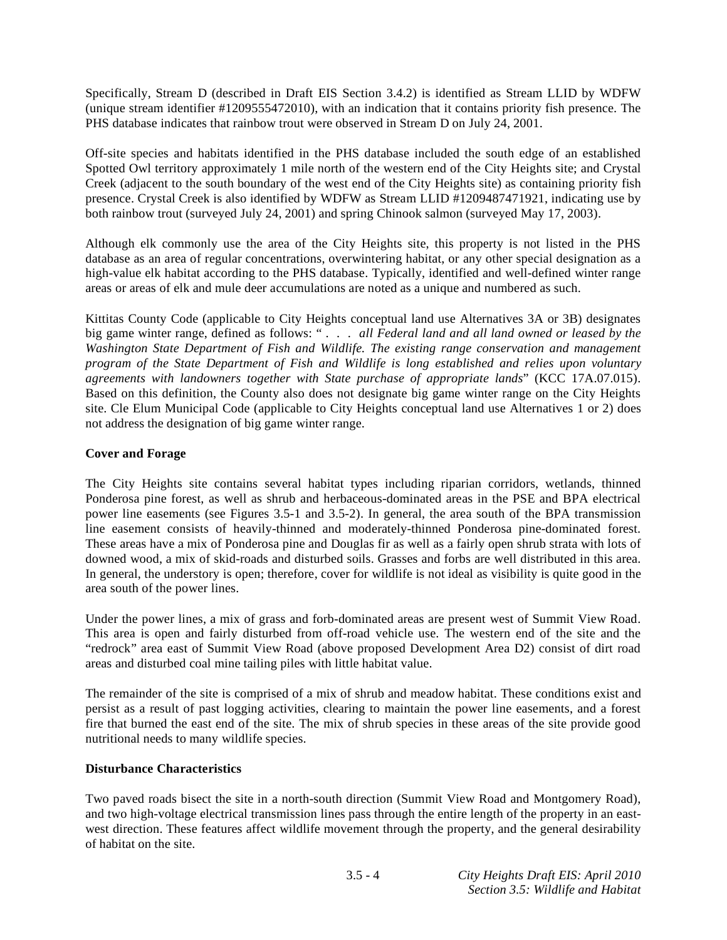Specifically, Stream D (described in Draft EIS Section 3.4.2) is identified as Stream LLID by WDFW (unique stream identifier #1209555472010), with an indication that it contains priority fish presence. The PHS database indicates that rainbow trout were observed in Stream D on July 24, 2001.

Off-site species and habitats identified in the PHS database included the south edge of an established Spotted Owl territory approximately 1 mile north of the western end of the City Heights site; and Crystal Creek (adjacent to the south boundary of the west end of the City Heights site) as containing priority fish presence. Crystal Creek is also identified by WDFW as Stream LLID #1209487471921, indicating use by both rainbow trout (surveyed July 24, 2001) and spring Chinook salmon (surveyed May 17, 2003).

Although elk commonly use the area of the City Heights site, this property is not listed in the PHS database as an area of regular concentrations, overwintering habitat, or any other special designation as a high-value elk habitat according to the PHS database. Typically, identified and well-defined winter range areas or areas of elk and mule deer accumulations are noted as a unique and numbered as such.

Kittitas County Code (applicable to City Heights conceptual land use Alternatives 3A or 3B) designates big game winter range, defined as follows: " *. . . all Federal land and all land owned or leased by the Washington State Department of Fish and Wildlife. The existing range conservation and management program of the State Department of Fish and Wildlife is long established and relies upon voluntary agreements with landowners together with State purchase of appropriate lands*" (KCC 17A.07.015). Based on this definition, the County also does not designate big game winter range on the City Heights site. Cle Elum Municipal Code (applicable to City Heights conceptual land use Alternatives 1 or 2) does not address the designation of big game winter range.

### **Cover and Forage**

The City Heights site contains several habitat types including riparian corridors, wetlands, thinned Ponderosa pine forest, as well as shrub and herbaceous-dominated areas in the PSE and BPA electrical power line easements (see Figures 3.5-1 and 3.5-2). In general, the area south of the BPA transmission line easement consists of heavily-thinned and moderately-thinned Ponderosa pine-dominated forest. These areas have a mix of Ponderosa pine and Douglas fir as well as a fairly open shrub strata with lots of downed wood, a mix of skid-roads and disturbed soils. Grasses and forbs are well distributed in this area. In general, the understory is open; therefore, cover for wildlife is not ideal as visibility is quite good in the area south of the power lines.

Under the power lines, a mix of grass and forb-dominated areas are present west of Summit View Road. This area is open and fairly disturbed from off-road vehicle use. The western end of the site and the "redrock" area east of Summit View Road (above proposed Development Area D2) consist of dirt road areas and disturbed coal mine tailing piles with little habitat value.

The remainder of the site is comprised of a mix of shrub and meadow habitat. These conditions exist and persist as a result of past logging activities, clearing to maintain the power line easements, and a forest fire that burned the east end of the site. The mix of shrub species in these areas of the site provide good nutritional needs to many wildlife species.

### **Disturbance Characteristics**

Two paved roads bisect the site in a north-south direction (Summit View Road and Montgomery Road), and two high-voltage electrical transmission lines pass through the entire length of the property in an eastwest direction. These features affect wildlife movement through the property, and the general desirability of habitat on the site.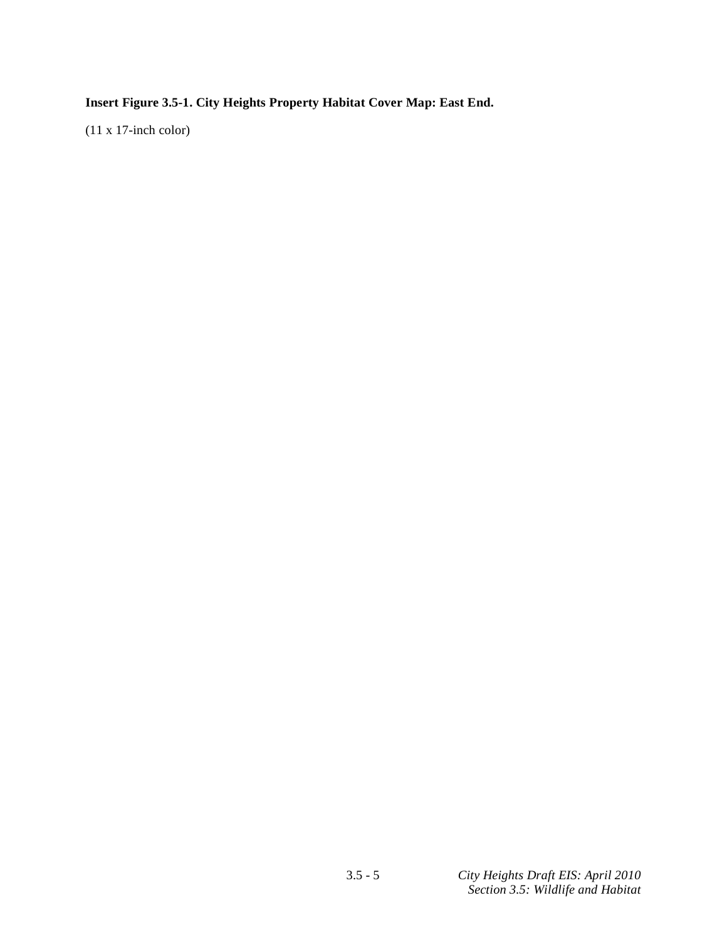**Insert Figure 3.5-1. City Heights Property Habitat Cover Map: East End.** 

(11 x 17-inch color)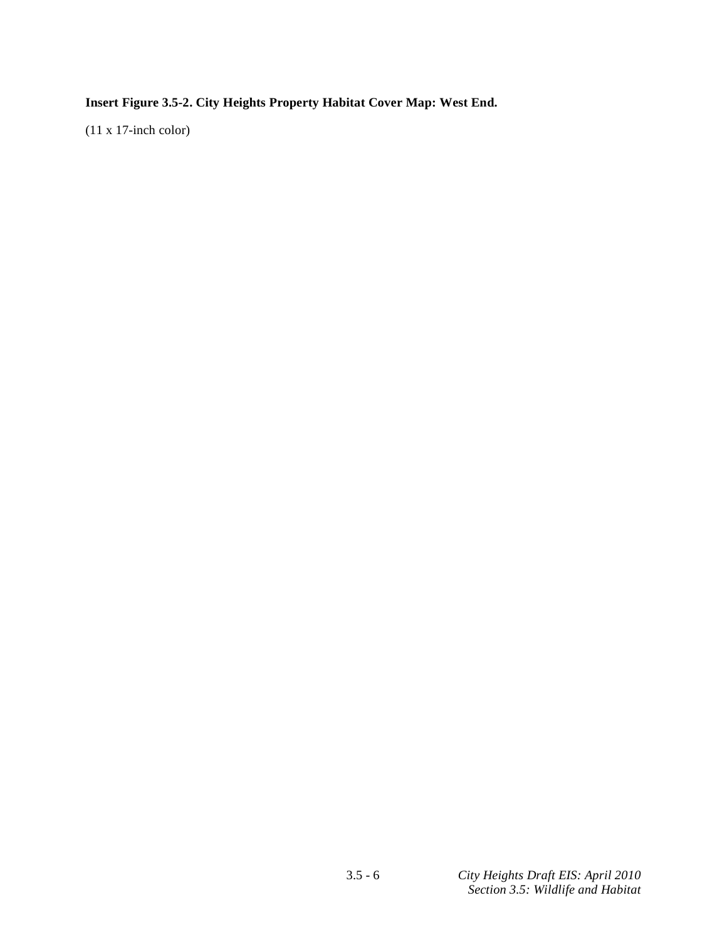**Insert Figure 3.5-2. City Heights Property Habitat Cover Map: West End.** 

(11 x 17-inch color)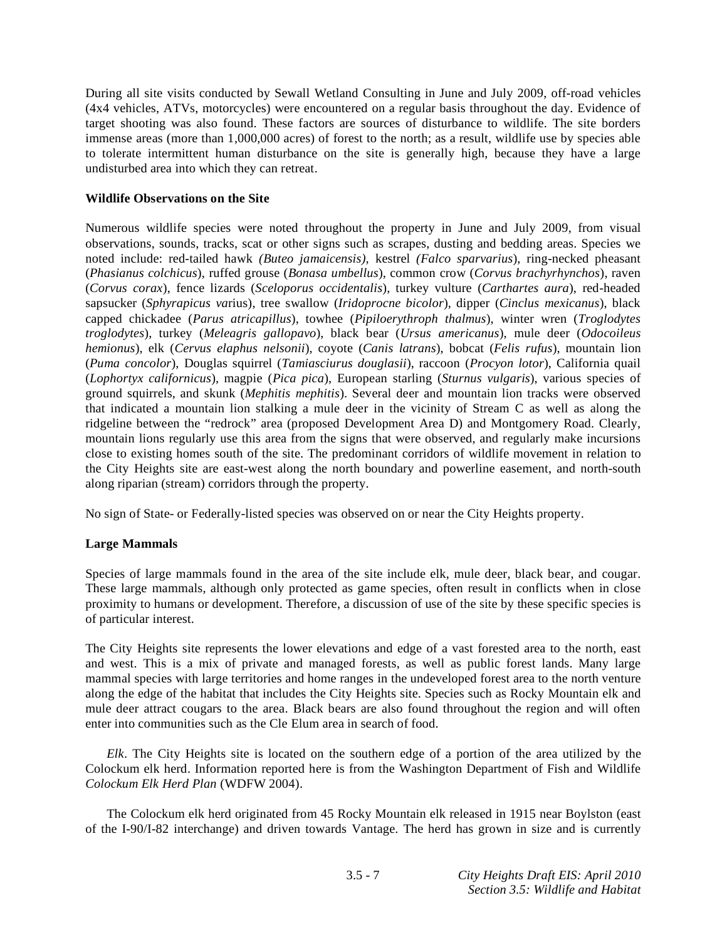During all site visits conducted by Sewall Wetland Consulting in June and July 2009, off-road vehicles (4x4 vehicles, ATVs, motorcycles) were encountered on a regular basis throughout the day. Evidence of target shooting was also found. These factors are sources of disturbance to wildlife. The site borders immense areas (more than 1,000,000 acres) of forest to the north; as a result, wildlife use by species able to tolerate intermittent human disturbance on the site is generally high, because they have a large undisturbed area into which they can retreat.

### **Wildlife Observations on the Site**

Numerous wildlife species were noted throughout the property in June and July 2009, from visual observations, sounds, tracks, scat or other signs such as scrapes, dusting and bedding areas. Species we noted include: red-tailed hawk *(Buteo jamaicensis),* kestrel *(Falco sparvarius*), ring-necked pheasant (*Phasianus colchicus*), ruffed grouse (*Bonasa umbellus*), common crow (*Corvus brachyrhynchos*), raven (*Corvus corax*), fence lizards (*Sceloporus occidentalis*), turkey vulture (*Carthartes aura*), red-headed sapsucker (*Sphyrapicus va*rius), tree swallow (*Iridoprocne bicolor*), dipper (*Cinclus mexicanus*), black capped chickadee (*Parus atricapillus*), towhee (*Pipiloerythroph thalmus*), winter wren (*Troglodytes troglodytes*), turkey (*Meleagris gallopavo*), black bear (*Ursus americanus*), mule deer (*Odocoileus hemionus*), elk (*Cervus elaphus nelsonii*), coyote (*Canis latrans*), bobcat (*Felis rufus*), mountain lion (*Puma concolor*), Douglas squirrel (*Tamiasciurus douglasii*), raccoon (*Procyon lotor*), California quail (*Lophortyx californicus*), magpie (*Pica pica*), European starling (*Sturnus vulgaris*), various species of ground squirrels, and skunk (*Mephitis mephitis*). Several deer and mountain lion tracks were observed that indicated a mountain lion stalking a mule deer in the vicinity of Stream C as well as along the ridgeline between the "redrock" area (proposed Development Area D) and Montgomery Road. Clearly, mountain lions regularly use this area from the signs that were observed, and regularly make incursions close to existing homes south of the site. The predominant corridors of wildlife movement in relation to the City Heights site are east-west along the north boundary and powerline easement, and north-south along riparian (stream) corridors through the property.

No sign of State- or Federally-listed species was observed on or near the City Heights property.

## **Large Mammals**

Species of large mammals found in the area of the site include elk, mule deer, black bear, and cougar. These large mammals, although only protected as game species, often result in conflicts when in close proximity to humans or development. Therefore, a discussion of use of the site by these specific species is of particular interest.

The City Heights site represents the lower elevations and edge of a vast forested area to the north, east and west. This is a mix of private and managed forests, as well as public forest lands. Many large mammal species with large territories and home ranges in the undeveloped forest area to the north venture along the edge of the habitat that includes the City Heights site. Species such as Rocky Mountain elk and mule deer attract cougars to the area. Black bears are also found throughout the region and will often enter into communities such as the Cle Elum area in search of food.

*Elk*. The City Heights site is located on the southern edge of a portion of the area utilized by the Colockum elk herd. Information reported here is from the Washington Department of Fish and Wildlife *Colockum Elk Herd Plan* (WDFW 2004).

 The Colockum elk herd originated from 45 Rocky Mountain elk released in 1915 near Boylston (east of the I-90/I-82 interchange) and driven towards Vantage. The herd has grown in size and is currently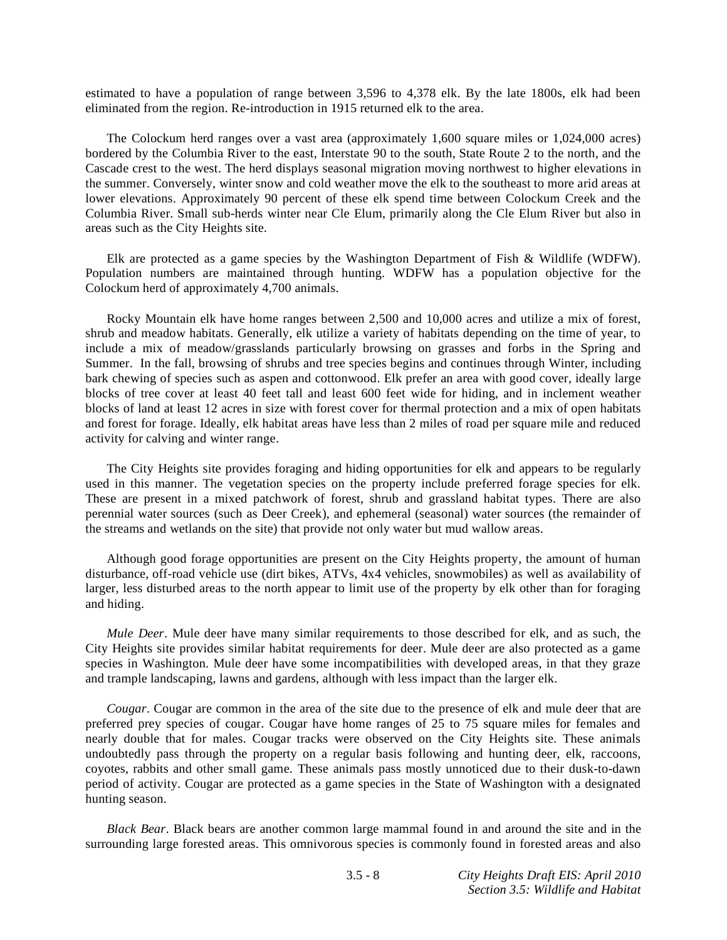estimated to have a population of range between 3,596 to 4,378 elk. By the late 1800s, elk had been eliminated from the region. Re-introduction in 1915 returned elk to the area.

 The Colockum herd ranges over a vast area (approximately 1,600 square miles or 1,024,000 acres) bordered by the Columbia River to the east, Interstate 90 to the south, State Route 2 to the north, and the Cascade crest to the west. The herd displays seasonal migration moving northwest to higher elevations in the summer. Conversely, winter snow and cold weather move the elk to the southeast to more arid areas at lower elevations. Approximately 90 percent of these elk spend time between Colockum Creek and the Columbia River. Small sub-herds winter near Cle Elum, primarily along the Cle Elum River but also in areas such as the City Heights site.

 Elk are protected as a game species by the Washington Department of Fish & Wildlife (WDFW). Population numbers are maintained through hunting. WDFW has a population objective for the Colockum herd of approximately 4,700 animals.

 Rocky Mountain elk have home ranges between 2,500 and 10,000 acres and utilize a mix of forest, shrub and meadow habitats. Generally, elk utilize a variety of habitats depending on the time of year, to include a mix of meadow/grasslands particularly browsing on grasses and forbs in the Spring and Summer. In the fall, browsing of shrubs and tree species begins and continues through Winter, including bark chewing of species such as aspen and cottonwood. Elk prefer an area with good cover, ideally large blocks of tree cover at least 40 feet tall and least 600 feet wide for hiding, and in inclement weather blocks of land at least 12 acres in size with forest cover for thermal protection and a mix of open habitats and forest for forage. Ideally, elk habitat areas have less than 2 miles of road per square mile and reduced activity for calving and winter range.

 The City Heights site provides foraging and hiding opportunities for elk and appears to be regularly used in this manner. The vegetation species on the property include preferred forage species for elk. These are present in a mixed patchwork of forest, shrub and grassland habitat types. There are also perennial water sources (such as Deer Creek), and ephemeral (seasonal) water sources (the remainder of the streams and wetlands on the site) that provide not only water but mud wallow areas.

 Although good forage opportunities are present on the City Heights property, the amount of human disturbance, off-road vehicle use (dirt bikes, ATVs, 4x4 vehicles, snowmobiles) as well as availability of larger, less disturbed areas to the north appear to limit use of the property by elk other than for foraging and hiding.

*Mule Deer*. Mule deer have many similar requirements to those described for elk, and as such, the City Heights site provides similar habitat requirements for deer. Mule deer are also protected as a game species in Washington. Mule deer have some incompatibilities with developed areas, in that they graze and trample landscaping, lawns and gardens, although with less impact than the larger elk.

*Cougar*. Cougar are common in the area of the site due to the presence of elk and mule deer that are preferred prey species of cougar. Cougar have home ranges of 25 to 75 square miles for females and nearly double that for males. Cougar tracks were observed on the City Heights site. These animals undoubtedly pass through the property on a regular basis following and hunting deer, elk, raccoons, coyotes, rabbits and other small game. These animals pass mostly unnoticed due to their dusk-to-dawn period of activity. Cougar are protected as a game species in the State of Washington with a designated hunting season.

*Black Bear*. Black bears are another common large mammal found in and around the site and in the surrounding large forested areas. This omnivorous species is commonly found in forested areas and also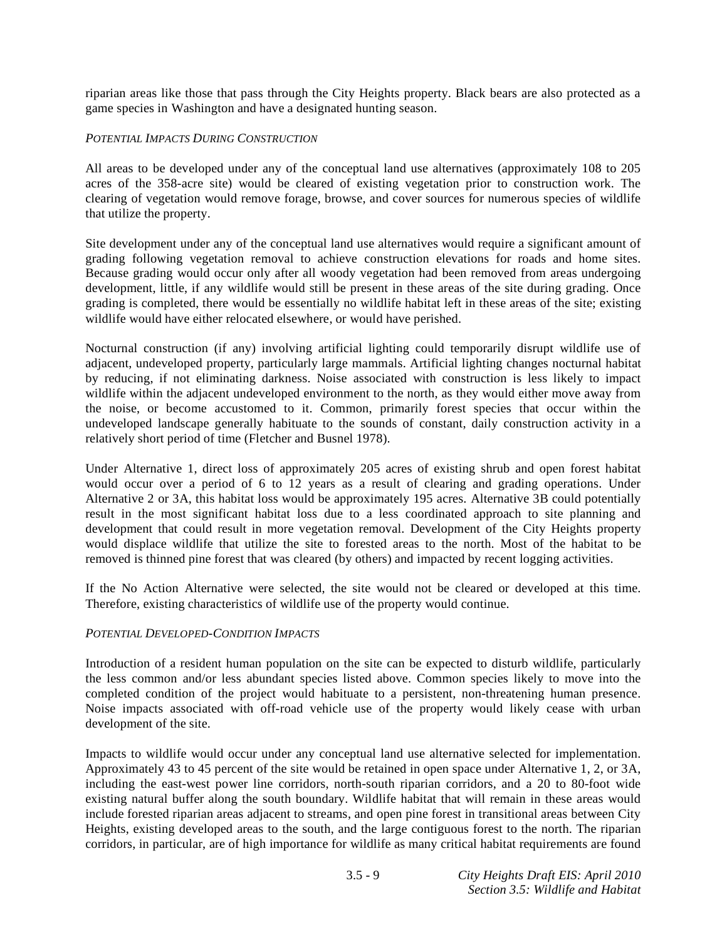riparian areas like those that pass through the City Heights property. Black bears are also protected as a game species in Washington and have a designated hunting season.

### *POTENTIAL IMPACTS DURING CONSTRUCTION*

All areas to be developed under any of the conceptual land use alternatives (approximately 108 to 205 acres of the 358-acre site) would be cleared of existing vegetation prior to construction work. The clearing of vegetation would remove forage, browse, and cover sources for numerous species of wildlife that utilize the property.

Site development under any of the conceptual land use alternatives would require a significant amount of grading following vegetation removal to achieve construction elevations for roads and home sites. Because grading would occur only after all woody vegetation had been removed from areas undergoing development, little, if any wildlife would still be present in these areas of the site during grading. Once grading is completed, there would be essentially no wildlife habitat left in these areas of the site; existing wildlife would have either relocated elsewhere, or would have perished.

Nocturnal construction (if any) involving artificial lighting could temporarily disrupt wildlife use of adjacent, undeveloped property, particularly large mammals. Artificial lighting changes nocturnal habitat by reducing, if not eliminating darkness. Noise associated with construction is less likely to impact wildlife within the adjacent undeveloped environment to the north, as they would either move away from the noise, or become accustomed to it. Common, primarily forest species that occur within the undeveloped landscape generally habituate to the sounds of constant, daily construction activity in a relatively short period of time (Fletcher and Busnel 1978).

Under Alternative 1, direct loss of approximately 205 acres of existing shrub and open forest habitat would occur over a period of 6 to 12 years as a result of clearing and grading operations. Under Alternative 2 or 3A, this habitat loss would be approximately 195 acres. Alternative 3B could potentially result in the most significant habitat loss due to a less coordinated approach to site planning and development that could result in more vegetation removal. Development of the City Heights property would displace wildlife that utilize the site to forested areas to the north. Most of the habitat to be removed is thinned pine forest that was cleared (by others) and impacted by recent logging activities.

If the No Action Alternative were selected, the site would not be cleared or developed at this time. Therefore, existing characteristics of wildlife use of the property would continue.

## *POTENTIAL DEVELOPED-CONDITION IMPACTS*

Introduction of a resident human population on the site can be expected to disturb wildlife, particularly the less common and/or less abundant species listed above. Common species likely to move into the completed condition of the project would habituate to a persistent, non-threatening human presence. Noise impacts associated with off-road vehicle use of the property would likely cease with urban development of the site.

Impacts to wildlife would occur under any conceptual land use alternative selected for implementation. Approximately 43 to 45 percent of the site would be retained in open space under Alternative 1, 2, or 3A, including the east-west power line corridors, north-south riparian corridors, and a 20 to 80-foot wide existing natural buffer along the south boundary. Wildlife habitat that will remain in these areas would include forested riparian areas adjacent to streams, and open pine forest in transitional areas between City Heights, existing developed areas to the south, and the large contiguous forest to the north. The riparian corridors, in particular, are of high importance for wildlife as many critical habitat requirements are found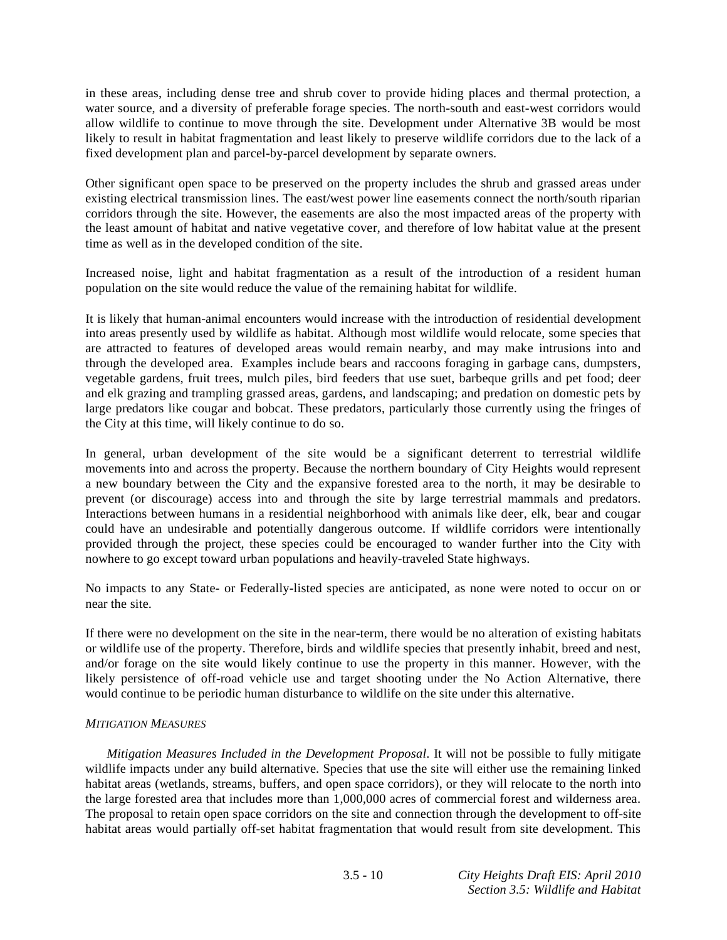in these areas, including dense tree and shrub cover to provide hiding places and thermal protection, a water source, and a diversity of preferable forage species. The north-south and east-west corridors would allow wildlife to continue to move through the site. Development under Alternative 3B would be most likely to result in habitat fragmentation and least likely to preserve wildlife corridors due to the lack of a fixed development plan and parcel-by-parcel development by separate owners.

Other significant open space to be preserved on the property includes the shrub and grassed areas under existing electrical transmission lines. The east/west power line easements connect the north/south riparian corridors through the site. However, the easements are also the most impacted areas of the property with the least amount of habitat and native vegetative cover, and therefore of low habitat value at the present time as well as in the developed condition of the site.

Increased noise, light and habitat fragmentation as a result of the introduction of a resident human population on the site would reduce the value of the remaining habitat for wildlife.

It is likely that human-animal encounters would increase with the introduction of residential development into areas presently used by wildlife as habitat. Although most wildlife would relocate, some species that are attracted to features of developed areas would remain nearby, and may make intrusions into and through the developed area. Examples include bears and raccoons foraging in garbage cans, dumpsters, vegetable gardens, fruit trees, mulch piles, bird feeders that use suet, barbeque grills and pet food; deer and elk grazing and trampling grassed areas, gardens, and landscaping; and predation on domestic pets by large predators like cougar and bobcat. These predators, particularly those currently using the fringes of the City at this time, will likely continue to do so.

In general, urban development of the site would be a significant deterrent to terrestrial wildlife movements into and across the property. Because the northern boundary of City Heights would represent a new boundary between the City and the expansive forested area to the north, it may be desirable to prevent (or discourage) access into and through the site by large terrestrial mammals and predators. Interactions between humans in a residential neighborhood with animals like deer, elk, bear and cougar could have an undesirable and potentially dangerous outcome. If wildlife corridors were intentionally provided through the project, these species could be encouraged to wander further into the City with nowhere to go except toward urban populations and heavily-traveled State highways.

No impacts to any State- or Federally-listed species are anticipated, as none were noted to occur on or near the site.

If there were no development on the site in the near-term, there would be no alteration of existing habitats or wildlife use of the property. Therefore, birds and wildlife species that presently inhabit, breed and nest, and/or forage on the site would likely continue to use the property in this manner. However, with the likely persistence of off-road vehicle use and target shooting under the No Action Alternative, there would continue to be periodic human disturbance to wildlife on the site under this alternative.

### *MITIGATION MEASURES*

*Mitigation Measures Included in the Development Proposal*. It will not be possible to fully mitigate wildlife impacts under any build alternative. Species that use the site will either use the remaining linked habitat areas (wetlands, streams, buffers, and open space corridors), or they will relocate to the north into the large forested area that includes more than 1,000,000 acres of commercial forest and wilderness area. The proposal to retain open space corridors on the site and connection through the development to off-site habitat areas would partially off-set habitat fragmentation that would result from site development. This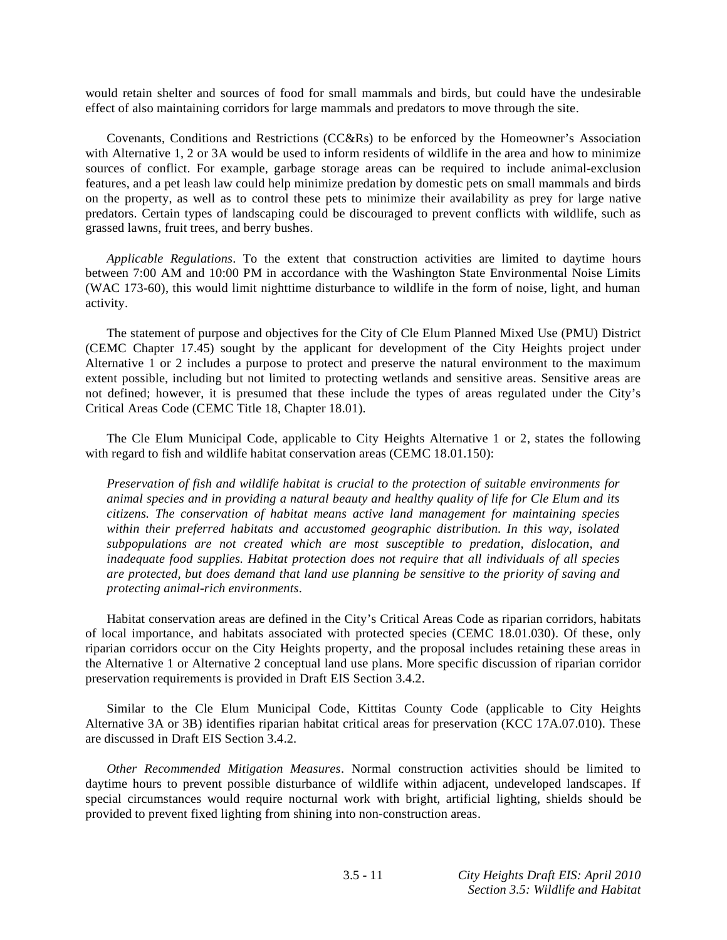would retain shelter and sources of food for small mammals and birds, but could have the undesirable effect of also maintaining corridors for large mammals and predators to move through the site.

 Covenants, Conditions and Restrictions (CC&Rs) to be enforced by the Homeowner's Association with Alternative 1, 2 or 3A would be used to inform residents of wildlife in the area and how to minimize sources of conflict. For example, garbage storage areas can be required to include animal-exclusion features, and a pet leash law could help minimize predation by domestic pets on small mammals and birds on the property, as well as to control these pets to minimize their availability as prey for large native predators. Certain types of landscaping could be discouraged to prevent conflicts with wildlife, such as grassed lawns, fruit trees, and berry bushes.

*Applicable Regulations*. To the extent that construction activities are limited to daytime hours between 7:00 AM and 10:00 PM in accordance with the Washington State Environmental Noise Limits (WAC 173-60), this would limit nighttime disturbance to wildlife in the form of noise, light, and human activity.

 The statement of purpose and objectives for the City of Cle Elum Planned Mixed Use (PMU) District (CEMC Chapter 17.45) sought by the applicant for development of the City Heights project under Alternative 1 or 2 includes a purpose to protect and preserve the natural environment to the maximum extent possible, including but not limited to protecting wetlands and sensitive areas. Sensitive areas are not defined; however, it is presumed that these include the types of areas regulated under the City's Critical Areas Code (CEMC Title 18, Chapter 18.01).

 The Cle Elum Municipal Code, applicable to City Heights Alternative 1 or 2, states the following with regard to fish and wildlife habitat conservation areas (CEMC 18.01.150):

*Preservation of fish and wildlife habitat is crucial to the protection of suitable environments for animal species and in providing a natural beauty and healthy quality of life for Cle Elum and its citizens. The conservation of habitat means active land management for maintaining species within their preferred habitats and accustomed geographic distribution. In this way, isolated subpopulations are not created which are most susceptible to predation, dislocation, and inadequate food supplies. Habitat protection does not require that all individuals of all species are protected, but does demand that land use planning be sensitive to the priority of saving and protecting animal-rich environments*.

 Habitat conservation areas are defined in the City's Critical Areas Code as riparian corridors, habitats of local importance, and habitats associated with protected species (CEMC 18.01.030). Of these, only riparian corridors occur on the City Heights property, and the proposal includes retaining these areas in the Alternative 1 or Alternative 2 conceptual land use plans. More specific discussion of riparian corridor preservation requirements is provided in Draft EIS Section 3.4.2.

 Similar to the Cle Elum Municipal Code, Kittitas County Code (applicable to City Heights Alternative 3A or 3B) identifies riparian habitat critical areas for preservation (KCC 17A.07.010). These are discussed in Draft EIS Section 3.4.2.

*Other Recommended Mitigation Measures*. Normal construction activities should be limited to daytime hours to prevent possible disturbance of wildlife within adjacent, undeveloped landscapes. If special circumstances would require nocturnal work with bright, artificial lighting, shields should be provided to prevent fixed lighting from shining into non-construction areas.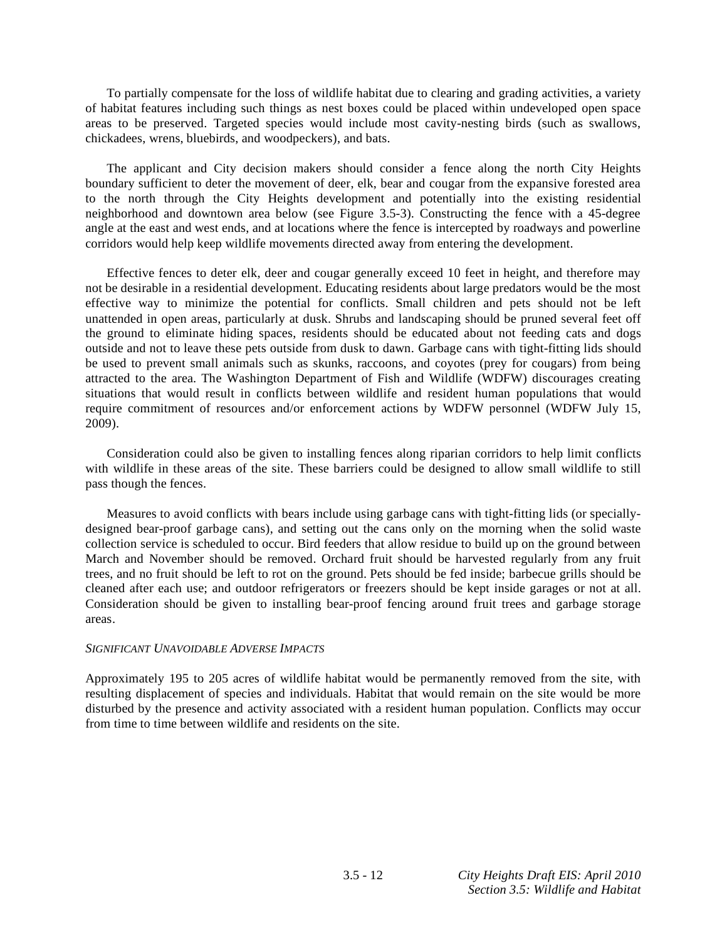To partially compensate for the loss of wildlife habitat due to clearing and grading activities, a variety of habitat features including such things as nest boxes could be placed within undeveloped open space areas to be preserved. Targeted species would include most cavity-nesting birds (such as swallows, chickadees, wrens, bluebirds, and woodpeckers), and bats.

 The applicant and City decision makers should consider a fence along the north City Heights boundary sufficient to deter the movement of deer, elk, bear and cougar from the expansive forested area to the north through the City Heights development and potentially into the existing residential neighborhood and downtown area below (see Figure 3.5-3). Constructing the fence with a 45-degree angle at the east and west ends, and at locations where the fence is intercepted by roadways and powerline corridors would help keep wildlife movements directed away from entering the development.

 Effective fences to deter elk, deer and cougar generally exceed 10 feet in height, and therefore may not be desirable in a residential development. Educating residents about large predators would be the most effective way to minimize the potential for conflicts. Small children and pets should not be left unattended in open areas, particularly at dusk. Shrubs and landscaping should be pruned several feet off the ground to eliminate hiding spaces, residents should be educated about not feeding cats and dogs outside and not to leave these pets outside from dusk to dawn. Garbage cans with tight-fitting lids should be used to prevent small animals such as skunks, raccoons, and coyotes (prey for cougars) from being attracted to the area. The Washington Department of Fish and Wildlife (WDFW) discourages creating situations that would result in conflicts between wildlife and resident human populations that would require commitment of resources and/or enforcement actions by WDFW personnel (WDFW July 15, 2009).

 Consideration could also be given to installing fences along riparian corridors to help limit conflicts with wildlife in these areas of the site. These barriers could be designed to allow small wildlife to still pass though the fences.

 Measures to avoid conflicts with bears include using garbage cans with tight-fitting lids (or speciallydesigned bear-proof garbage cans), and setting out the cans only on the morning when the solid waste collection service is scheduled to occur. Bird feeders that allow residue to build up on the ground between March and November should be removed. Orchard fruit should be harvested regularly from any fruit trees, and no fruit should be left to rot on the ground. Pets should be fed inside; barbecue grills should be cleaned after each use; and outdoor refrigerators or freezers should be kept inside garages or not at all. Consideration should be given to installing bear-proof fencing around fruit trees and garbage storage areas.

#### *SIGNIFICANT UNAVOIDABLE ADVERSE IMPACTS*

Approximately 195 to 205 acres of wildlife habitat would be permanently removed from the site, with resulting displacement of species and individuals. Habitat that would remain on the site would be more disturbed by the presence and activity associated with a resident human population. Conflicts may occur from time to time between wildlife and residents on the site.